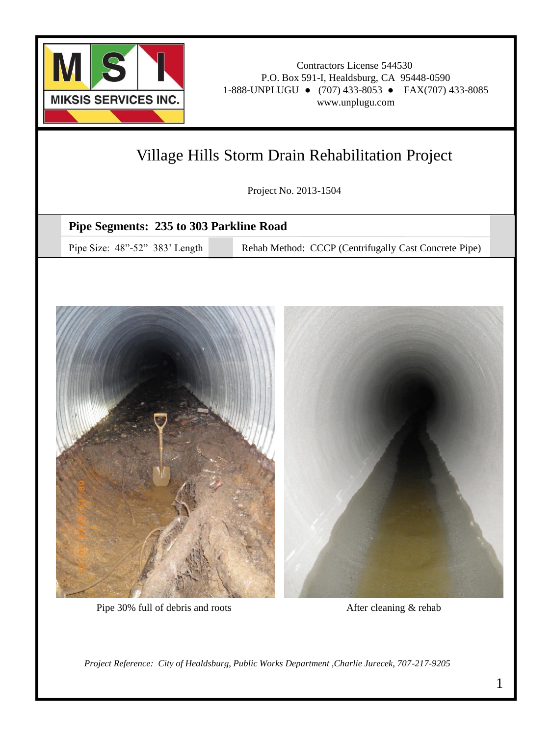

### Village Hills Storm Drain Rehabilitation Project

Project No. 2013-1504

#### **Pipe Segments: 235 to 303 Parkline Road**

Pipe Size: 48"-52" 383' Length Rehab Method: CCCP (Centrifugally Cast Concrete Pipe)



Pipe 30% full of debris and roots

After cleaning & rehab

*Project Reference: City of Healdsburg, Public Works Department ,Charlie Jurecek, 707-217-9205*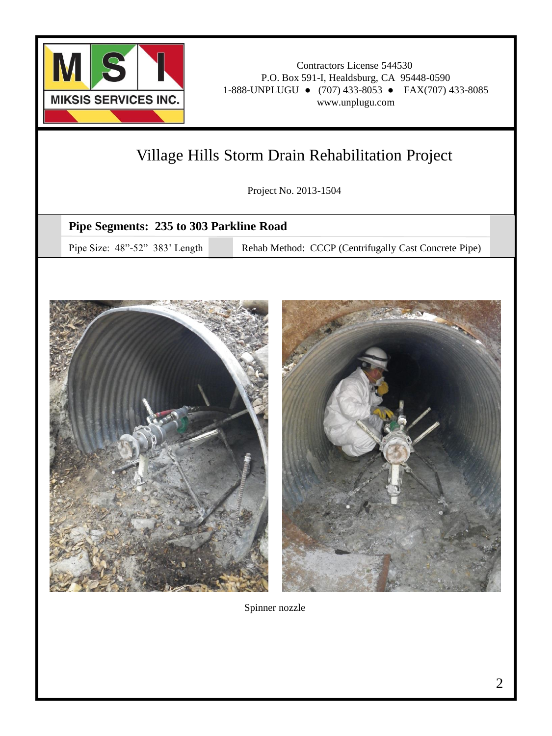

# Village Hills Storm Drain Rehabilitation Project

Project No. 2013-1504

### **Pipe Segments: 235 to 303 Parkline Road**

Pipe Size: 48"-52" 383' Length Rehab Method: CCCP (Centrifugally Cast Concrete Pipe)



Spinner nozzle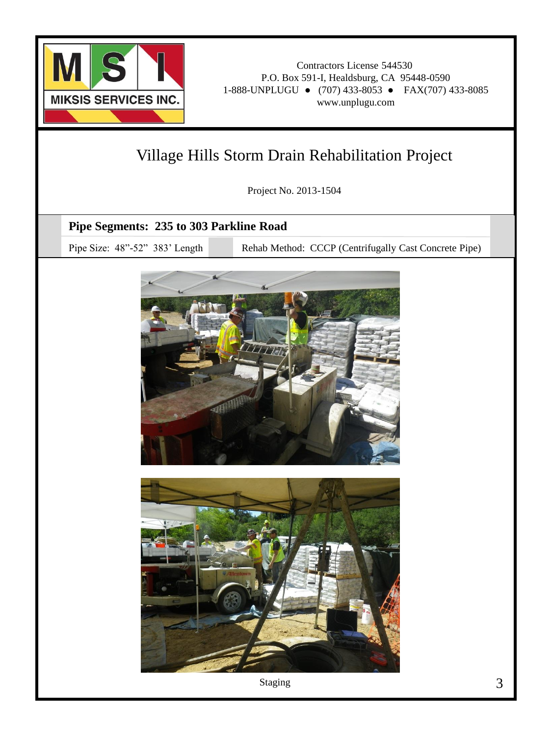

# Village Hills Storm Drain Rehabilitation Project

Project No. 2013-1504

### **Pipe Segments: 235 to 303 Parkline Road**

Pipe Size: 48"-52" 383' Length Rehab Method: CCCP (Centrifugally Cast Concrete Pipe)





Staging